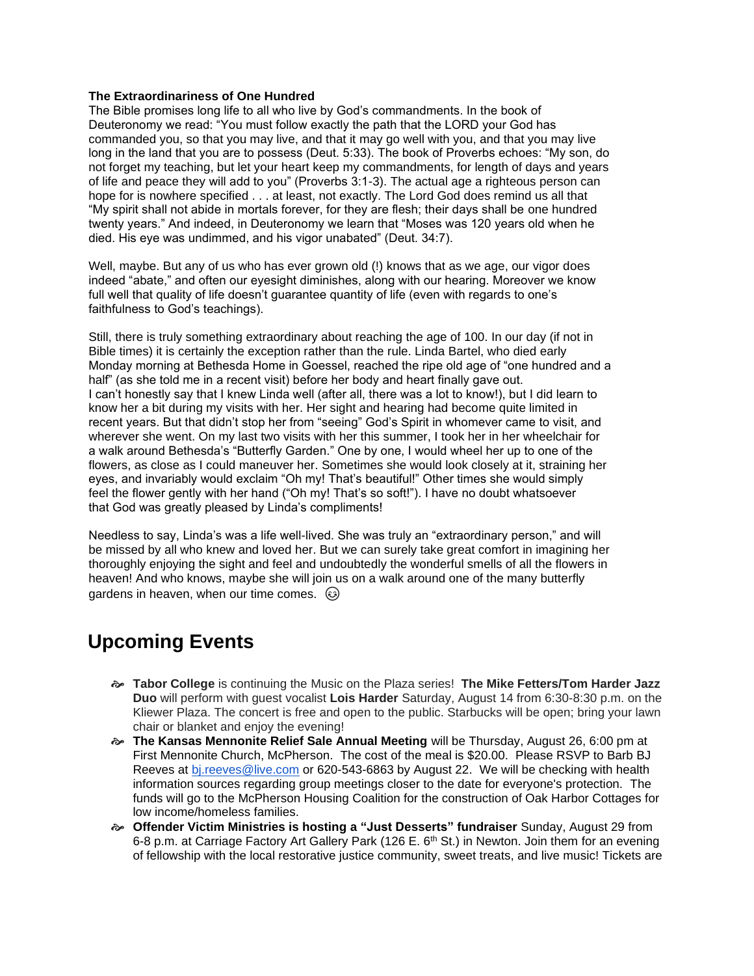## **The Extraordinariness of One Hundred**

The Bible promises long life to all who live by God's commandments. In the book of Deuteronomy we read: "You must follow exactly the path that the LORD your God has commanded you, so that you may live, and that it may go well with you, and that you may live long in the land that you are to possess (Deut. 5:33). The book of Proverbs echoes: "My son, do not forget my teaching, but let your heart keep my commandments, for length of days and years of life and peace they will add to you" (Proverbs 3:1-3). The actual age a righteous person can hope for is nowhere specified . . . at least, not exactly. The Lord God does remind us all that "My spirit shall not abide in mortals forever, for they are flesh; their days shall be one hundred twenty years." And indeed, in Deuteronomy we learn that "Moses was 120 years old when he died. His eye was undimmed, and his vigor unabated" (Deut. 34:7).

Well, maybe. But any of us who has ever grown old (!) knows that as we age, our vigor does indeed "abate," and often our eyesight diminishes, along with our hearing. Moreover we know full well that quality of life doesn't guarantee quantity of life (even with regards to one's faithfulness to God's teachings).

Still, there is truly something extraordinary about reaching the age of 100. In our day (if not in Bible times) it is certainly the exception rather than the rule. Linda Bartel, who died early Monday morning at Bethesda Home in Goessel, reached the ripe old age of "one hundred and a half" (as she told me in a recent visit) before her body and heart finally gave out. I can't honestly say that I knew Linda well (after all, there was a lot to know!), but I did learn to know her a bit during my visits with her. Her sight and hearing had become quite limited in recent years. But that didn't stop her from "seeing" God's Spirit in whomever came to visit, and wherever she went. On my last two visits with her this summer, I took her in her wheelchair for a walk around Bethesda's "Butterfly Garden." One by one, I would wheel her up to one of the flowers, as close as I could maneuver her. Sometimes she would look closely at it, straining her eyes, and invariably would exclaim "Oh my! That's beautiful!" Other times she would simply feel the flower gently with her hand ("Oh my! That's so soft!"). I have no doubt whatsoever that God was greatly pleased by Linda's compliments!

Needless to say, Linda's was a life well-lived. She was truly an "extraordinary person," and will be missed by all who knew and loved her. But we can surely take great comfort in imagining her thoroughly enjoying the sight and feel and undoubtedly the wonderful smells of all the flowers in heaven! And who knows, maybe she will join us on a walk around one of the many butterfly gardens in heaven, when our time comes.  $\odot$ 

## **Upcoming Events**

- **Tabor College** is continuing the Music on the Plaza series! **The Mike Fetters/Tom Harder Jazz Duo** will perform with guest vocalist **Lois Harder** Saturday, August 14 from 6:30-8:30 p.m. on the Kliewer Plaza. The concert is free and open to the public. Starbucks will be open; bring your lawn chair or blanket and enjoy the evening!
- **The Kansas Mennonite Relief Sale Annual Meeting** will be Thursday, August 26, 6:00 pm at First Mennonite Church, McPherson. The cost of the meal is \$20.00. Please RSVP to Barb BJ Reeves at [bj.reeves@live.com](mailto:bj.reeves@live.com) or 620-543-6863 by August 22. We will be checking with health information sources regarding group meetings closer to the date for everyone's protection. The funds will go to the McPherson Housing Coalition for the construction of Oak Harbor Cottages for low income/homeless families.
- **Offender Victim Ministries is hosting a "Just Desserts" fundraiser** Sunday, August 29 from 6-8 p.m. at Carriage Factory Art Gallery Park (126 E.  $6<sup>th</sup>$  St.) in Newton. Join them for an evening of fellowship with the local restorative justice community, sweet treats, and live music! Tickets are